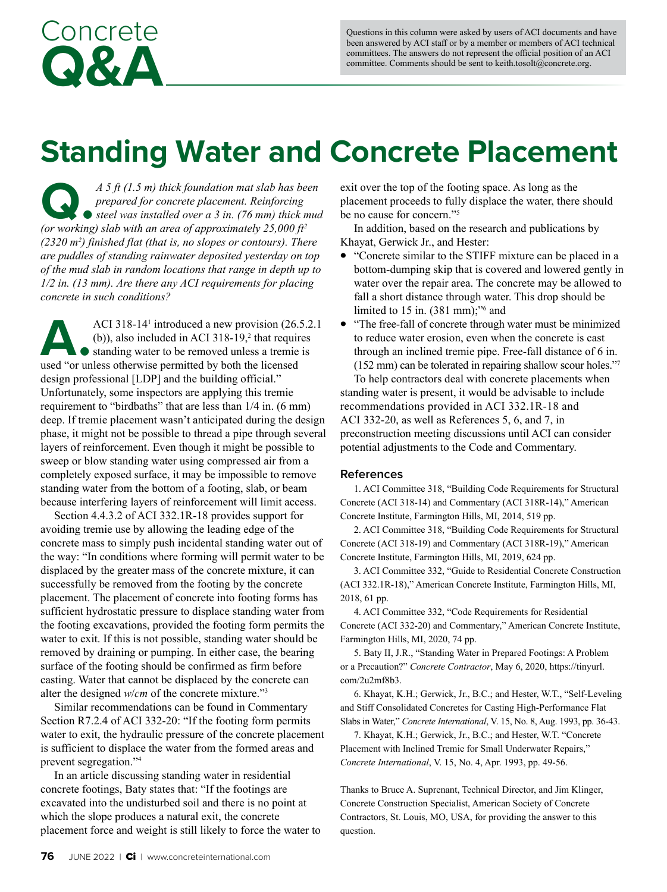## **Standing Water and Concrete Placement**

*A* 5 *ft* (1.5 *m)* thick foundation mat slab has been prepared for concrete placement. Reinforcing steel was installed over a 3 in. (76 mm) thick muanter for vertical points of approximately 25.000  $f_t^2$ *prepared for concrete placement. Reinforcing steel was installed over a 3 in. (76 mm) thick mud (or working) slab with an area of approximately 25,000 ft2 (2320 m2 ) finished flat (that is, no slopes or contours). There are puddles of standing rainwater deposited yesterday on top of the mud slab in random locations that range in depth up to 1/2 in. (13 mm). Are there any ACI requirements for placing concrete in such conditions?*

Concrete

**Q&A**

ACI 318-14<sup>1</sup> introduced a new provision (26.1)<br>
(b)), also included in ACI 318-19,<sup>2</sup> that required the standing water to be removed unless a tremie used "or unless otherwise permitted by both the licensed ACI 318-14 $^1$  introduced a new provision (26.5.2.1)  $(b)$ ), also included in ACI 318-19,<sup>2</sup> that requires standing water to be removed unless a tremie is design professional [LDP] and the building official." Unfortunately, some inspectors are applying this tremie requirement to "birdbaths" that are less than 1/4 in. (6 mm) deep. If tremie placement wasn't anticipated during the design phase, it might not be possible to thread a pipe through several layers of reinforcement. Even though it might be possible to sweep or blow standing water using compressed air from a completely exposed surface, it may be impossible to remove standing water from the bottom of a footing, slab, or beam because interfering layers of reinforcement will limit access.

Section 4.4.3.2 of ACI 332.1R-18 provides support for avoiding tremie use by allowing the leading edge of the concrete mass to simply push incidental standing water out of the way: "In conditions where forming will permit water to be displaced by the greater mass of the concrete mixture, it can successfully be removed from the footing by the concrete placement. The placement of concrete into footing forms has sufficient hydrostatic pressure to displace standing water from the footing excavations, provided the footing form permits the water to exit. If this is not possible, standing water should be removed by draining or pumping. In either case, the bearing surface of the footing should be confirmed as firm before casting. Water that cannot be displaced by the concrete can alter the designed *w*/*cm* of the concrete mixture."3

Similar recommendations can be found in Commentary Section R7.2.4 of ACI 332-20: "If the footing form permits water to exit, the hydraulic pressure of the concrete placement is sufficient to displace the water from the formed areas and prevent segregation."4

In an article discussing standing water in residential concrete footings, Baty states that: "If the footings are excavated into the undisturbed soil and there is no point at which the slope produces a natural exit, the concrete placement force and weight is still likely to force the water to exit over the top of the footing space. As long as the placement proceeds to fully displace the water, there should be no cause for concern."5

In addition, based on the research and publications by Khayat, Gerwick Jr., and Hester:

- "Concrete similar to the STIFF mixture can be placed in a bottom-dumping skip that is covered and lowered gently in water over the repair area. The concrete may be allowed to fall a short distance through water. This drop should be limited to 15 in. (381 mm);"<sup>6</sup> and
- "The free-fall of concrete through water must be minimized to reduce water erosion, even when the concrete is cast through an inclined tremie pipe. Free-fall distance of 6 in. (152 mm) can be tolerated in repairing shallow scour holes."7

To help contractors deal with concrete placements when standing water is present, it would be advisable to include recommendations provided in ACI 332.1R-18 and ACI 332-20, as well as References 5, 6, and 7, in preconstruction meeting discussions until ACI can consider potential adjustments to the Code and Commentary.

## **References**

1. ACI Committee 318, "Building Code Requirements for Structural Concrete (ACI 318-14) and Commentary (ACI 318R-14)," American Concrete Institute, Farmington Hills, MI, 2014, 519 pp.

2. ACI Committee 318, "Building Code Requirements for Structural Concrete (ACI 318-19) and Commentary (ACI 318R-19)," American Concrete Institute, Farmington Hills, MI, 2019, 624 pp.

3. ACI Committee 332, "Guide to Residential Concrete Construction (ACI 332.1R-18)," American Concrete Institute, Farmington Hills, MI, 2018, 61 pp.

4. ACI Committee 332, "Code Requirements for Residential Concrete (ACI 332-20) and Commentary," American Concrete Institute, Farmington Hills, MI, 2020, 74 pp.

5. Baty II, J.R., "Standing Water in Prepared Footings: A Problem or a Precaution?" *Concrete Contractor*, May 6, 2020, [https://tinyurl.](https://tinyurl.com/2u2mf8b3) [com/2u2mf8b3](https://tinyurl.com/2u2mf8b3).

6. Khayat, K.H.; Gerwick, Jr., B.C.; and Hester, W.T., "Self-Leveling and Stiff Consolidated Concretes for Casting High-Performance Flat Slabs in Water," *Concrete International*, V. 15, No. 8, Aug. 1993, pp. 36-43.

7. Khayat, K.H.; Gerwick, Jr., B.C.; and Hester, W.T. "Concrete Placement with Inclined Tremie for Small Underwater Repairs," *Concrete International*, V. 15, No. 4, Apr. 1993, pp. 49-56.

Thanks to Bruce A. Suprenant, Technical Director, and Jim Klinger, Concrete Construction Specialist, American Society of Concrete Contractors, St. Louis, MO, USA, for providing the answer to this question.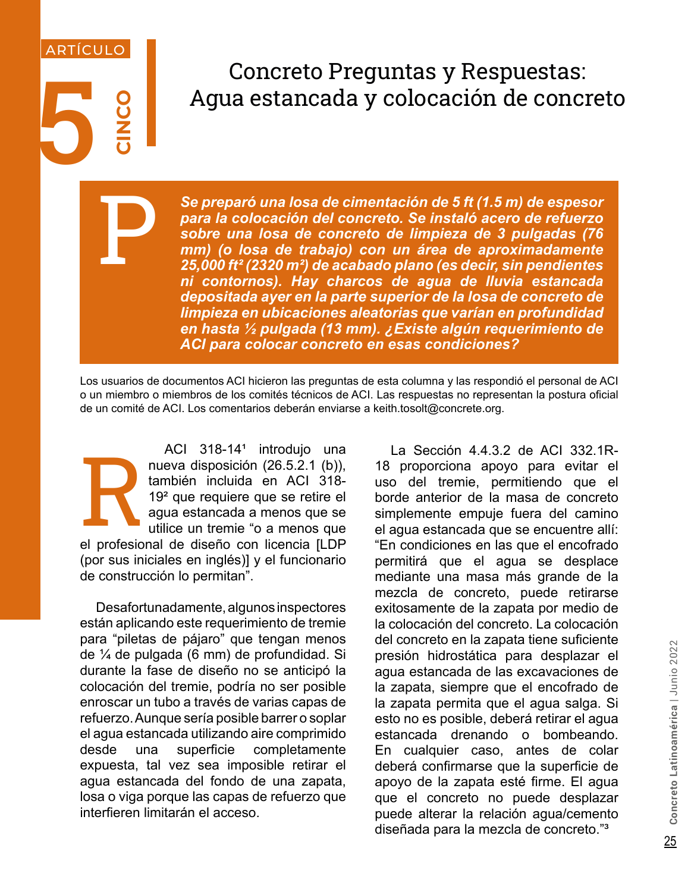## Concreto Preguntas y Respuestas:<br>Agua estancada y colocación de conc Agua estancada y colocación de concreto

*Se preparó una losa de cimentación de 5 ft (1.5 m) de espesor para la colocación del concreto. Se instaló acero de refuerzo sobre una losa de concreto de limpieza de 3 pulgadas (76 mm) (o losa de trabajo) con un área de aproximadamente 25,000 ft² (2320 m²) de acabado plano (es decir, sin pendientes ni contornos). Hay charcos de agua de lluvia estancada depositada ayer en la parte superior de la losa de concreto de limpieza en ubicaciones aleatorias que varían en profundidad en hasta ½ pulgada (13 mm). ¿Existe algún requerimiento de ACI para colocar concreto en esas condiciones?*

Los usuarios de documentos ACI hicieron las preguntas de esta columna y las respondió el personal de ACI o un miembro o miembros de los comités técnicos de ACI. Las respuestas no representan la postura oficial de un comité de ACI. Los comentarios deberán enviarse a keith.tosolt@concrete.org.

R ACI 318-14<sup>1</sup> introdujo una nueva disposición (26.5.2.1 (b)), también incluida en ACI 318- 19² que requiere que se retire el agua estancada a menos que se utilice un tremie "o a menos que el profesional de diseño con licencia [LDP (por sus iniciales en inglés)] y el funcionario de construcción lo permitan".

**CINCO**

P

ARTÍCULO

be the state of the state of the state of the state of the state and the state of the state of the state of the state of the state of the state of the state of the state of the state of the state of the state of the state Desafortunadamente, algunos inspectores están aplicando este requerimiento de tremie para "piletas de pájaro" que tengan menos de ¼ de pulgada (6 mm) de profundidad. Si durante la fase de diseño no se anticipó la colocación del tremie, podría no ser posible enroscar un tubo a través de varias capas de refuerzo. Aunque sería posible barrer o soplar el agua estancada utilizando aire comprimido desde una superficie completamente expuesta, tal vez sea imposible retirar el agua estancada del fondo de una zapata, losa o viga porque las capas de refuerzo que interfieren limitarán el acceso.

La Sección 4.4.3.2 de ACI 332.1R-18 proporciona apoyo para evitar el uso del tremie, permitiendo que el borde anterior de la masa de concreto simplemente empuje fuera del camino el agua estancada que se encuentre allí: "En condiciones en las que el encofrado permitirá que el agua se desplace mediante una masa más grande de la mezcla de concreto, puede retirarse exitosamente de la zapata por medio de la colocación del concreto. La colocación del concreto en la zapata tiene suficiente presión hidrostática para desplazar el agua estancada de las excavaciones de la zapata, siempre que el encofrado de la zapata permita que el agua salga. Si esto no es posible, deberá retirar el agua estancada drenando o bombeando. En cualquier caso, antes de colar deberá confirmarse que la superficie de apoyo de la zapata esté firme. El agua que el concreto no puede desplazar puede alterar la relación agua/cemento diseñada para la mezcla de concreto."³